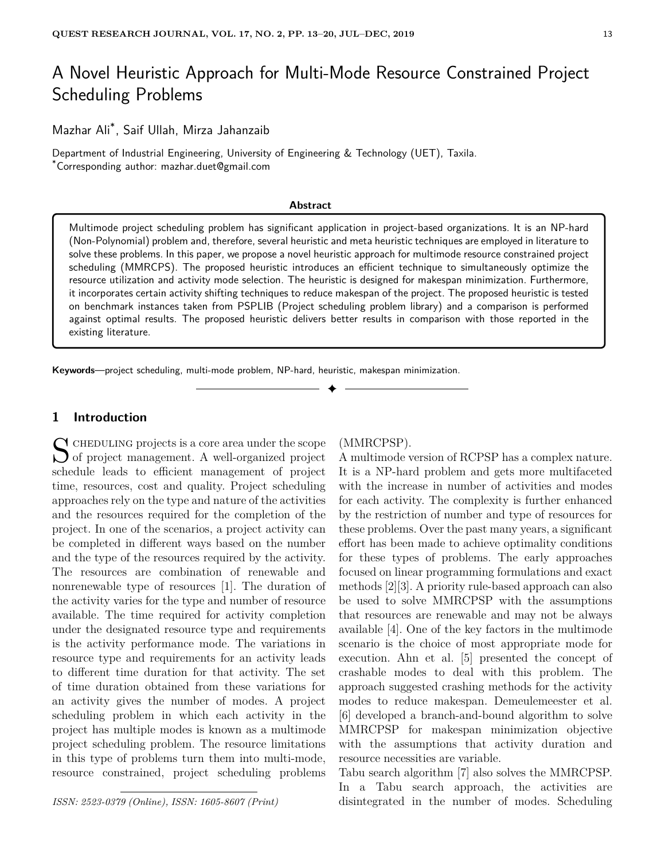# A Novel Heuristic Approach for Multi-Mode Resource Constrained Project Scheduling Problems

Mazhar Ali\* , Saif Ullah, Mirza Jahanzaib

Department of Industrial Engineering, University of Engineering & Technology (UET), Taxila. \*Corresponding author: mazhar.duet@gmail.com

#### **Abstract**

Multimode project scheduling problem has significant application in project-based organizations. It is an NP-hard (Non-Polynomial) problem and, therefore, several heuristic and meta heuristic techniques are employed in literature to solve these problems. In this paper, we propose a novel heuristic approach for multimode resource constrained project scheduling (MMRCPS). The proposed heuristic introduces an efficient technique to simultaneously optimize the resource utilization and activity mode selection. The heuristic is designed for makespan minimization. Furthermore, it incorporates certain activity shifting techniques to reduce makespan of the project. The proposed heuristic is tested on benchmark instances taken from PSPLIB (Project scheduling problem library) and a comparison is performed against optimal results. The proposed heuristic delivers better results in comparison with those reported in the existing literature.

✦

**Keywords**—project scheduling, multi-mode problem, NP-hard, heuristic, makespan minimization.

# **1 Introduction**

 $S$  CHEDULING projects is a core area under the scope<br>of project management. A well-organized project  $\bigcup$  of project management. A well-organized project schedule leads to efficient management of project time, resources, cost and quality. Project scheduling approaches rely on the type and nature of the activities and the resources required for the completion of the project. In one of the scenarios, a project activity can be completed in different ways based on the number and the type of the resources required by the activity. The resources are combination of renewable and nonrenewable type of resources [1]. The duration of the activity varies for the type and number of resource available. The time required for activity completion under the designated resource type and requirements is the activity performance mode. The variations in resource type and requirements for an activity leads to different time duration for that activity. The set of time duration obtained from these variations for an activity gives the number of modes. A project scheduling problem in which each activity in the project has multiple modes is known as a multimode project scheduling problem. The resource limitations in this type of problems turn them into multi-mode, resource constrained, project scheduling problems

*ISSN: 2523-0379 (Online), ISSN: 1605-8607 (Print)*

### (MMRCPSP).

A multimode version of RCPSP has a complex nature. It is a NP-hard problem and gets more multifaceted with the increase in number of activities and modes for each activity. The complexity is further enhanced by the restriction of number and type of resources for these problems. Over the past many years, a significant effort has been made to achieve optimality conditions for these types of problems. The early approaches focused on linear programming formulations and exact methods [2][3]. A priority rule-based approach can also be used to solve MMRCPSP with the assumptions that resources are renewable and may not be always available [4]. One of the key factors in the multimode scenario is the choice of most appropriate mode for execution. Ahn et al. [5] presented the concept of crashable modes to deal with this problem. The approach suggested crashing methods for the activity modes to reduce makespan. Demeulemeester et al. [6] developed a branch-and-bound algorithm to solve MMRCPSP for makespan minimization objective with the assumptions that activity duration and resource necessities are variable.

Tabu search algorithm [7] also solves the MMRCPSP. In a Tabu search approach, the activities are disintegrated in the number of modes. Scheduling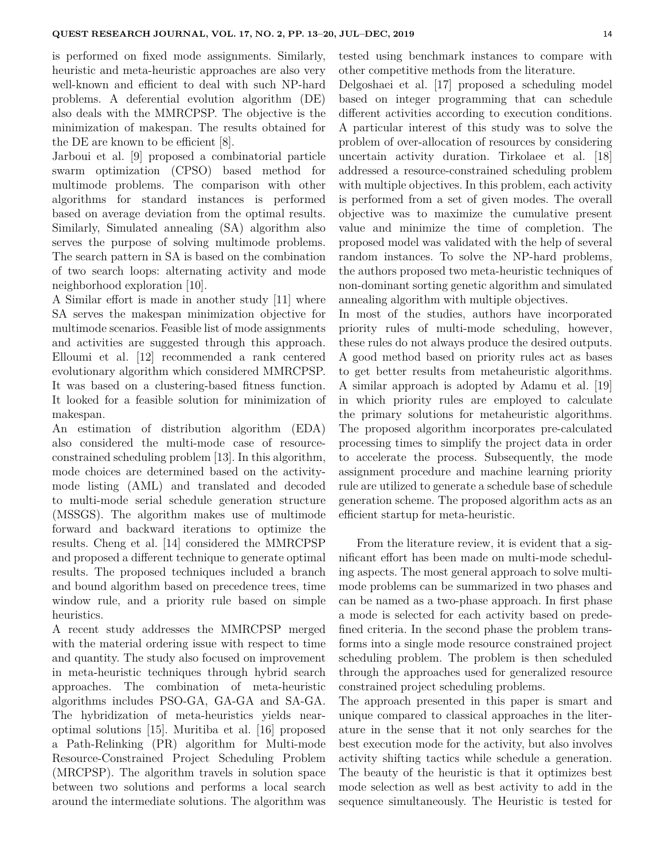is performed on fixed mode assignments. Similarly, heuristic and meta-heuristic approaches are also very well-known and efficient to deal with such NP-hard problems. A deferential evolution algorithm (DE) also deals with the MMRCPSP. The objective is the minimization of makespan. The results obtained for the DE are known to be efficient [8].

Jarboui et al. [9] proposed a combinatorial particle swarm optimization (CPSO) based method for multimode problems. The comparison with other algorithms for standard instances is performed based on average deviation from the optimal results. Similarly, Simulated annealing (SA) algorithm also serves the purpose of solving multimode problems. The search pattern in SA is based on the combination of two search loops: alternating activity and mode neighborhood exploration [10].

A Similar effort is made in another study [11] where SA serves the makespan minimization objective for multimode scenarios. Feasible list of mode assignments and activities are suggested through this approach. Elloumi et al. [12] recommended a rank centered evolutionary algorithm which considered MMRCPSP. It was based on a clustering-based fitness function. It looked for a feasible solution for minimization of makespan.

An estimation of distribution algorithm (EDA) also considered the multi-mode case of resourceconstrained scheduling problem [13]. In this algorithm, mode choices are determined based on the activitymode listing (AML) and translated and decoded to multi-mode serial schedule generation structure (MSSGS). The algorithm makes use of multimode forward and backward iterations to optimize the results. Cheng et al. [14] considered the MMRCPSP and proposed a different technique to generate optimal results. The proposed techniques included a branch and bound algorithm based on precedence trees, time window rule, and a priority rule based on simple heuristics.

A recent study addresses the MMRCPSP merged with the material ordering issue with respect to time and quantity. The study also focused on improvement in meta-heuristic techniques through hybrid search approaches. The combination of meta-heuristic algorithms includes PSO-GA, GA-GA and SA-GA. The hybridization of meta-heuristics yields nearoptimal solutions [15]. Muritiba et al. [16] proposed a Path-Relinking (PR) algorithm for Multi-mode Resource-Constrained Project Scheduling Problem (MRCPSP). The algorithm travels in solution space between two solutions and performs a local search around the intermediate solutions. The algorithm was tested using benchmark instances to compare with other competitive methods from the literature.

Delgoshaei et al. [17] proposed a scheduling model based on integer programming that can schedule different activities according to execution conditions. A particular interest of this study was to solve the problem of over-allocation of resources by considering uncertain activity duration. Tirkolaee et al. [18] addressed a resource-constrained scheduling problem with multiple objectives. In this problem, each activity is performed from a set of given modes. The overall objective was to maximize the cumulative present value and minimize the time of completion. The proposed model was validated with the help of several random instances. To solve the NP-hard problems, the authors proposed two meta-heuristic techniques of non-dominant sorting genetic algorithm and simulated annealing algorithm with multiple objectives.

In most of the studies, authors have incorporated priority rules of multi-mode scheduling, however, these rules do not always produce the desired outputs. A good method based on priority rules act as bases to get better results from metaheuristic algorithms. A similar approach is adopted by Adamu et al. [19] in which priority rules are employed to calculate the primary solutions for metaheuristic algorithms. The proposed algorithm incorporates pre-calculated processing times to simplify the project data in order to accelerate the process. Subsequently, the mode assignment procedure and machine learning priority rule are utilized to generate a schedule base of schedule generation scheme. The proposed algorithm acts as an efficient startup for meta-heuristic.

From the literature review, it is evident that a significant effort has been made on multi-mode scheduling aspects. The most general approach to solve multimode problems can be summarized in two phases and can be named as a two-phase approach. In first phase a mode is selected for each activity based on predefined criteria. In the second phase the problem transforms into a single mode resource constrained project scheduling problem. The problem is then scheduled through the approaches used for generalized resource constrained project scheduling problems.

The approach presented in this paper is smart and unique compared to classical approaches in the literature in the sense that it not only searches for the best execution mode for the activity, but also involves activity shifting tactics while schedule a generation. The beauty of the heuristic is that it optimizes best mode selection as well as best activity to add in the sequence simultaneously. The Heuristic is tested for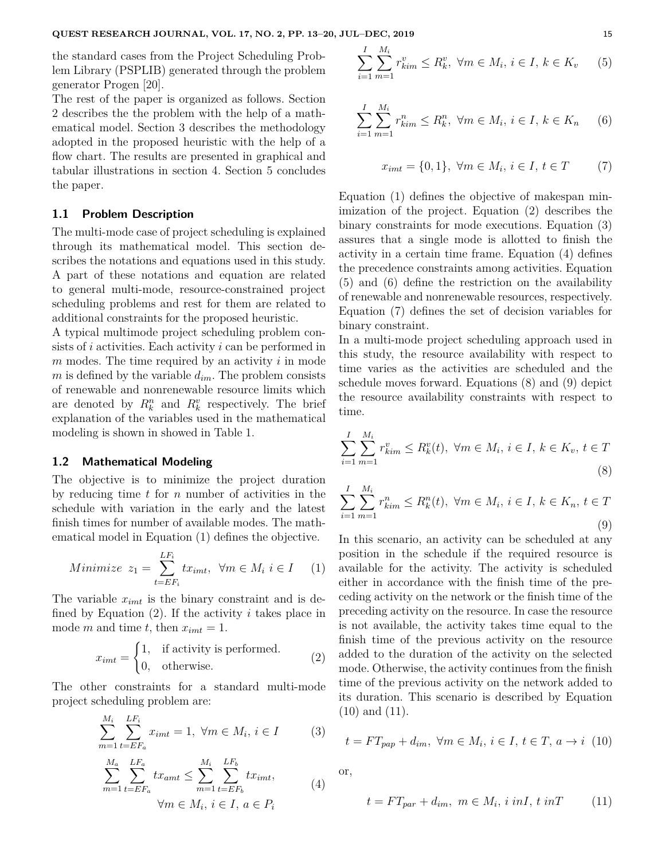the standard cases from the Project Scheduling Problem Library (PSPLIB) generated through the problem generator Progen [20].

The rest of the paper is organized as follows. Section 2 describes the the problem with the help of a mathematical model. Section 3 describes the methodology adopted in the proposed heuristic with the help of a flow chart. The results are presented in graphical and tabular illustrations in section 4. Section 5 concludes the paper.

### **1.1 Problem Description**

The multi-mode case of project scheduling is explained through its mathematical model. This section describes the notations and equations used in this study. A part of these notations and equation are related to general multi-mode, resource-constrained project scheduling problems and rest for them are related to additional constraints for the proposed heuristic.

A typical multimode project scheduling problem consists of *i* activities. Each activity *i* can be performed in *m* modes. The time required by an activity *i* in mode *m* is defined by the variable  $d_{im}$ . The problem consists of renewable and nonrenewable resource limits which are denoted by  $R_k^n$  and  $R_k^v$  respectively. The brief explanation of the variables used in the mathematical modeling is shown in showed in Table 1.

#### **1.2 Mathematical Modeling**

The objective is to minimize the project duration by reducing time *t* for *n* number of activities in the schedule with variation in the early and the latest finish times for number of available modes. The mathematical model in Equation (1) defines the objective.

Minimize 
$$
z_1 = \sum_{t=EF_i}^{LF_i} tx_{imt}, \ \forall m \in M_i \ i \in I
$$
 (1)

The variable *ximt* is the binary constraint and is defined by Equation (2). If the activity *i* takes place in mode *m* and time *t*, then  $x_{imt} = 1$ .

$$
x_{imt} = \begin{cases} 1, & \text{if activity is performed.} \\ 0, & \text{otherwise.} \end{cases}
$$
 (2)

The other constraints for a standard multi-mode project scheduling problem are:

$$
\sum_{m=1}^{M_i} \sum_{t=EF_a}^{LF_i} x_{imt} = 1, \ \forall m \in M_i, \ i \in I \tag{3}
$$

$$
\sum_{m=1}^{M_a} \sum_{t=EF_a}^{LF_a} tx_{amt} \le \sum_{m=1}^{M_i} \sum_{t=EF_b}^{LF_b} tx_{imt},
$$
\n
$$
\forall m \in M_i, i \in I, a \in P_i
$$
\n(4)

$$
\sum_{i=1}^{I} \sum_{m=1}^{M_i} r_{kim}^v \le R_k^v, \ \forall m \in M_i, \ i \in I, \ k \in K_v \tag{5}
$$

$$
\sum_{i=1}^{I} \sum_{m=1}^{M_i} r_{kim}^n \le R_k^n, \ \forall m \in M_i, \ i \in I, \ k \in K_n \tag{6}
$$

$$
x_{imt} = \{0, 1\}, \ \forall m \in M_i, \ i \in I, \ t \in T \tag{7}
$$

Equation (1) defines the objective of makespan minimization of the project. Equation (2) describes the binary constraints for mode executions. Equation (3) assures that a single mode is allotted to finish the activity in a certain time frame. Equation (4) defines the precedence constraints among activities. Equation (5) and (6) define the restriction on the availability of renewable and nonrenewable resources, respectively. Equation (7) defines the set of decision variables for binary constraint.

In a multi-mode project scheduling approach used in this study, the resource availability with respect to time varies as the activities are scheduled and the schedule moves forward. Equations (8) and (9) depict the resource availability constraints with respect to time.

$$
\sum_{i=1}^{I} \sum_{m=1}^{M_i} r_{kim}^v \le R_k^v(t), \ \forall m \in M_i, \ i \in I, \ k \in K_v, \ t \in T
$$
\n(8)

$$
\sum_{i=1}^{I} \sum_{m=1}^{M_i} r_{kim}^n \le R_k^n(t), \ \forall m \in M_i, \ i \in I, \ k \in K_n, \ t \in T
$$
\n(9)

In this scenario, an activity can be scheduled at any position in the schedule if the required resource is available for the activity. The activity is scheduled either in accordance with the finish time of the preceding activity on the network or the finish time of the preceding activity on the resource. In case the resource is not available, the activity takes time equal to the finish time of the previous activity on the resource added to the duration of the activity on the selected mode. Otherwise, the activity continues from the finish time of the previous activity on the network added to its duration. This scenario is described by Equation (10) and (11).

$$
t = FT_{pap} + d_{im}, \ \forall m \in M_i, \ i \in I, \ t \in T, \ a \rightarrow i \ (10)
$$

or,

$$
t = FT_{par} + d_{im}, \ m \in M_i, i \ in I, t \ in T \tag{11}
$$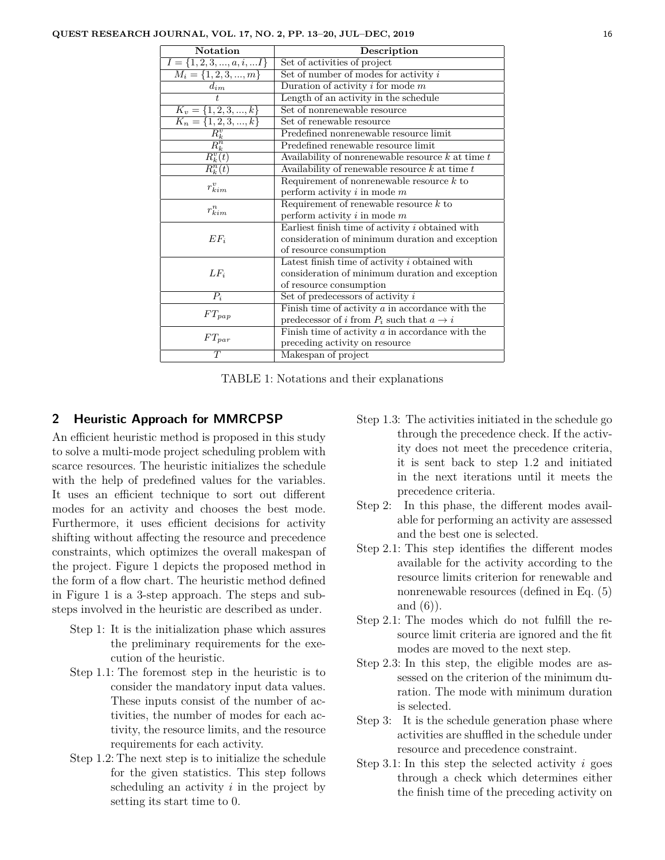| Notation                               | Description                                           |  |  |  |  |
|----------------------------------------|-------------------------------------------------------|--|--|--|--|
| $I = \{1, 2, 3, , a, i, I\}$           | Set of activities of project                          |  |  |  |  |
| $M_i = \{1, 2, 3, , m\}$               | Set of number of modes for activity $i$               |  |  |  |  |
| $d_{im}$                               | Duration of activity $i$ for mode $m$                 |  |  |  |  |
|                                        | Length of an activity in the schedule                 |  |  |  |  |
| $K_v = \{1, 2, 3, , k\}$               | Set of nonrenewable resource                          |  |  |  |  |
| $\frac{K_n = \{1, 2, 3, , k\}}{R_k^v}$ | Set of renewable resource                             |  |  |  |  |
|                                        | Predefined nonrenewable resource limit                |  |  |  |  |
|                                        | Predefined renewable resource limit                   |  |  |  |  |
| $\overline{R_k^v(t)}$                  | Availability of nonrenewable resource $k$ at time $t$ |  |  |  |  |
| $\overline{R_k^n(t)}$                  | Availability of renewable resource $k$ at time $t$    |  |  |  |  |
| $r_{kim}^v$                            | Requirement of nonrenewable resource $k$ to           |  |  |  |  |
|                                        | perform activity $i$ in mode $m$                      |  |  |  |  |
| $r_{kim}^n$                            | Requirement of renewable resource $k$ to              |  |  |  |  |
|                                        | perform activity $i$ in mode $m$                      |  |  |  |  |
|                                        | Earliest finish time of activity i obtained with      |  |  |  |  |
| $EF_i$                                 | consideration of minimum duration and exception       |  |  |  |  |
|                                        | of resource consumption                               |  |  |  |  |
| $LF_i$                                 | Latest finish time of activity i obtained with        |  |  |  |  |
|                                        | consideration of minimum duration and exception       |  |  |  |  |
|                                        | of resource consumption                               |  |  |  |  |
| $P_i$                                  | Set of predecessors of activity $i$                   |  |  |  |  |
| $FT_{pap}$                             | Finish time of activity $a$ in accordance with the    |  |  |  |  |
|                                        | predecessor of i from $P_i$ such that $a \to i$       |  |  |  |  |
| $FT_{par}$                             | Finish time of activity $a$ in accordance with the    |  |  |  |  |
|                                        | preceding activity on resource                        |  |  |  |  |
| $\overline{T}$                         | Makespan of project                                   |  |  |  |  |

TABLE 1: Notations and their explanations

### **2 Heuristic Approach for MMRCPSP**

An efficient heuristic method is proposed in this study to solve a multi-mode project scheduling problem with scarce resources. The heuristic initializes the schedule with the help of predefined values for the variables. It uses an efficient technique to sort out different modes for an activity and chooses the best mode. Furthermore, it uses efficient decisions for activity shifting without affecting the resource and precedence constraints, which optimizes the overall makespan of the project. Figure 1 depicts the proposed method in the form of a flow chart. The heuristic method defined in Figure 1 is a 3-step approach. The steps and substeps involved in the heuristic are described as under.

- Step 1: It is the initialization phase which assures the preliminary requirements for the execution of the heuristic.
- Step 1.1: The foremost step in the heuristic is to consider the mandatory input data values. These inputs consist of the number of activities, the number of modes for each activity, the resource limits, and the resource requirements for each activity.
- Step 1.2: The next step is to initialize the schedule for the given statistics. This step follows scheduling an activity *i* in the project by setting its start time to 0.
- Step 1.3: The activities initiated in the schedule go through the precedence check. If the activity does not meet the precedence criteria, it is sent back to step 1.2 and initiated in the next iterations until it meets the precedence criteria.
- Step 2: In this phase, the different modes available for performing an activity are assessed and the best one is selected.
- Step 2.1: This step identifies the different modes available for the activity according to the resource limits criterion for renewable and nonrenewable resources (defined in Eq. (5) and  $(6)$ ).
- Step 2.1: The modes which do not fulfill the resource limit criteria are ignored and the fit modes are moved to the next step.
- Step 2.3: In this step, the eligible modes are assessed on the criterion of the minimum duration. The mode with minimum duration is selected.
- Step 3: It is the schedule generation phase where activities are shuffled in the schedule under resource and precedence constraint.
- Step 3.1: In this step the selected activity *i* goes through a check which determines either the finish time of the preceding activity on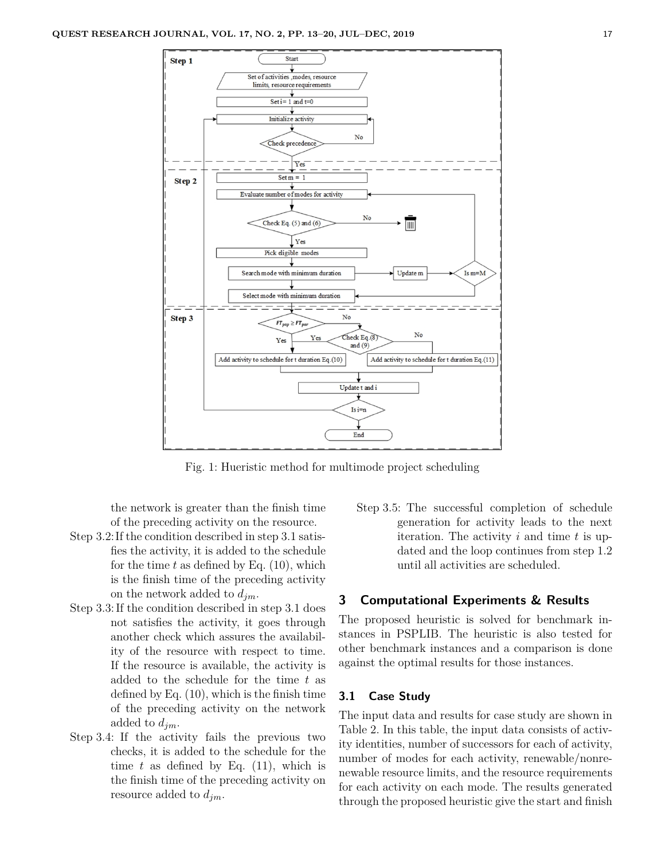

Fig. 1: Hueristic method for multimode project scheduling

the network is greater than the finish time of the preceding activity on the resource.

- Step 3.2:If the condition described in step 3.1 satisfies the activity, it is added to the schedule for the time *t* as defined by Eq. (10), which is the finish time of the preceding activity on the network added to *djm*.
- Step 3.3:If the condition described in step 3.1 does not satisfies the activity, it goes through another check which assures the availability of the resource with respect to time. If the resource is available, the activity is added to the schedule for the time *t* as defined by Eq. (10), which is the finish time of the preceding activity on the network added to *djm*.
- Step 3.4: If the activity fails the previous two checks, it is added to the schedule for the time  $t$  as defined by Eq.  $(11)$ , which is the finish time of the preceding activity on resource added to *djm*.

Step 3.5: The successful completion of schedule generation for activity leads to the next iteration. The activity *i* and time *t* is updated and the loop continues from step 1.2 until all activities are scheduled.

# **3 Computational Experiments & Results**

The proposed heuristic is solved for benchmark instances in PSPLIB. The heuristic is also tested for other benchmark instances and a comparison is done against the optimal results for those instances.

## **3.1 Case Study**

The input data and results for case study are shown in Table 2. In this table, the input data consists of activity identities, number of successors for each of activity, number of modes for each activity, renewable/nonrenewable resource limits, and the resource requirements for each activity on each mode. The results generated through the proposed heuristic give the start and finish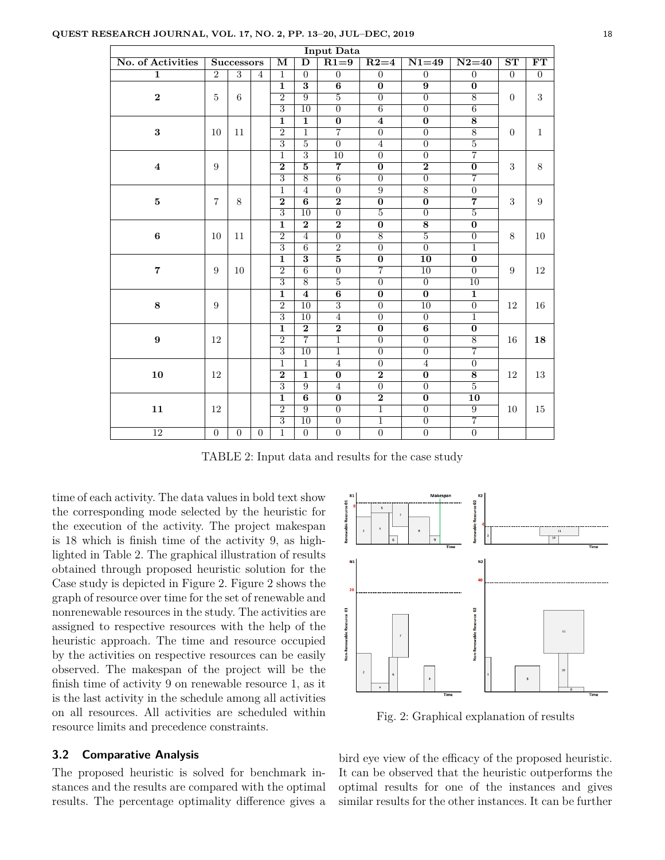| <b>Input Data</b> |                   |                |                         |                         |                         |                         |                         |                 |                         |                        |                  |                |                |                |                |                |  |  |
|-------------------|-------------------|----------------|-------------------------|-------------------------|-------------------------|-------------------------|-------------------------|-----------------|-------------------------|------------------------|------------------|----------------|----------------|----------------|----------------|----------------|--|--|
| No. of Activities | <b>Successors</b> |                | $\overline{\mathbf{M}}$ | $\overline{\text{D}}$   | $R1=9$                  | $R2=4$                  | $N1=49$                 | $N2=40$         | $\overline{\text{ST}}$  | $\overline{\text{FT}}$ |                  |                |                |                |                |                |  |  |
| $\mathbf{1}$      | $\overline{2}$    | $\overline{3}$ | $\overline{4}$          | 1                       | $\overline{0}$          | $\overline{0}$          | $\overline{0}$          | $\overline{0}$  | $\overline{0}$          | $\overline{0}$         | $\overline{0}$   |                |                |                |                |                |  |  |
| $\bf{2}$          | $\bf 5$           | 6              |                         | $\mathbf{1}$            | $\overline{\mathbf{3}}$ | 6                       | $\bf{0}$                | 9               | $\bf{0}$                | $\mathbf{0}$           | $\sqrt{3}$       |                |                |                |                |                |  |  |
|                   |                   |                |                         | $\overline{2}$          | 9                       | $\overline{5}$          | $\overline{0}$          | $\overline{0}$  | 8                       |                        |                  |                |                |                |                |                |  |  |
|                   |                   |                |                         | $\overline{3}$          | $\overline{10}$         | $\overline{0}$          | $\overline{6}$          | $\overline{0}$  | $\overline{6}$          |                        |                  |                |                |                |                |                |  |  |
| $\bf{3}$          | 10                | 11             |                         | $\mathbf{1}$            | $\mathbf{1}$            | $\boldsymbol{0}$        | $\overline{\mathbf{4}}$ | $\bf{0}$        | $\overline{\mathbf{8}}$ | $\overline{0}$         | $\mathbf{1}$     |                |                |                |                |                |  |  |
|                   |                   |                |                         | $\overline{2}$          | $\mathbf{1}$            | $\overline{7}$          | $\overline{0}$          | $\overline{0}$  | $8\,$                   |                        |                  |                |                |                |                |                |  |  |
|                   |                   |                |                         | $\overline{3}$          | $\overline{5}$          | $\overline{0}$          | $\overline{4}$          | $\Omega$        | $\overline{5}$          |                        |                  |                |                |                |                |                |  |  |
| $\bf{4}$          | 9                 |                |                         | 1                       | $\overline{3}$          | 10                      | $\overline{0}$          | $\overline{0}$  | $\overline{7}$          |                        | 8                |                |                |                |                |                |  |  |
|                   |                   |                |                         | $\overline{2}$          | $\overline{5}$          | $\overline{7}$          | $\overline{0}$          | $\overline{2}$  | $\overline{0}$          | 3                      |                  |                |                |                |                |                |  |  |
|                   |                   |                |                         | $\overline{3}$          | $\overline{8}$          | $\overline{6}$          | $\overline{0}$          | $\overline{0}$  | $\overline{7}$          |                        |                  |                |                |                |                |                |  |  |
| $\bf 5$           | $\overline{7}$    | 8              |                         | $\mathbf{1}$            | $\overline{4}$          | $\boldsymbol{0}$        | $\overline{9}$          | $\overline{8}$  | $\overline{0}$          |                        |                  |                |                |                |                |                |  |  |
|                   |                   |                |                         | $\overline{2}$          | $\overline{6}$          | $\overline{2}$          | $\overline{0}$          | $\overline{0}$  | $\overline{7}$          | $\sqrt{3}$             | $\boldsymbol{9}$ |                |                |                |                |                |  |  |
|                   |                   |                |                         | $\overline{3}$          | $\overline{10}$         | $\overline{0}$          | $\overline{5}$          | $\overline{0}$  | $\overline{5}$          |                        |                  |                |                |                |                |                |  |  |
| $\bf 6$           | 10                | 11             |                         | $\overline{1}$          | $\overline{2}$          | $\overline{2}$          | $\overline{0}$          | $\overline{8}$  | $\overline{0}$          | $8\,$                  | $10\,$           |                |                |                |                |                |  |  |
|                   |                   |                |                         | $\overline{2}$          | $\overline{4}$          | $\overline{0}$          | $\overline{8}$          | $\overline{5}$  | $\overline{0}$          |                        |                  |                |                |                |                |                |  |  |
|                   |                   |                |                         | $\overline{3}$          | $\overline{6}$          | $\overline{2}$          | $\overline{0}$          | $\overline{0}$  | $\overline{1}$          |                        |                  |                |                |                |                |                |  |  |
| $\overline{7}$    | 9                 | 10             |                         | $\overline{1}$          | $\overline{\mathbf{3}}$ | $\overline{5}$          | $\overline{0}$          | 10              | $\bf{0}$                | $\boldsymbol{9}$       | 12               |                |                |                |                |                |  |  |
|                   |                   |                |                         | $\overline{2}$          | $\overline{6}$          | $\overline{0}$          | $\overline{7}$          | $\overline{10}$ | $\overline{0}$          |                        |                  |                |                |                |                |                |  |  |
|                   |                   |                |                         | $\overline{3}$          | $\overline{8}$          | $\overline{5}$          | $\overline{0}$          | $\overline{0}$  | $\overline{10}$         |                        |                  |                |                |                |                |                |  |  |
| 8                 | 9                 |                |                         | $\overline{\mathbf{1}}$ | $\overline{\bf{4}}$     | $\overline{6}$          | $\overline{0}$          | $\overline{0}$  | $\overline{1}$          | 12                     | 16               |                |                |                |                |                |  |  |
|                   |                   |                |                         | $\overline{2}$          | $\overline{10}$         | $\overline{3}$          | $\overline{0}$          | $\overline{10}$ | $\overline{0}$          |                        |                  |                |                |                |                |                |  |  |
|                   |                   |                |                         | $\overline{3}$          | $\overline{10}$         | $\overline{4}$          | $\overline{0}$          | $\overline{0}$  | $\overline{1}$          |                        |                  |                |                |                |                |                |  |  |
| $\boldsymbol{9}$  | 12                |                |                         |                         |                         |                         |                         |                 |                         |                        | $\overline{1}$   | $\overline{2}$ | $\overline{2}$ | $\overline{0}$ | $\overline{6}$ | $\overline{0}$ |  |  |
|                   |                   |                |                         | $\overline{2}$          | $\overline{7}$          | $\overline{1}$          | $\overline{0}$          | $\overline{0}$  | $\overline{8}$          | 16                     | 18               |                |                |                |                |                |  |  |
|                   |                   |                |                         | $\overline{3}$          | $\overline{10}$         | $\overline{1}$          | $\overline{0}$          | $\overline{0}$  | $\overline{7}$          |                        |                  |                |                |                |                |                |  |  |
| 10                | 12                |                |                         | $\overline{1}$          | $\overline{1}$          | $\overline{4}$          | $\overline{0}$          | $\overline{4}$  | $\overline{0}$          |                        | 13               |                |                |                |                |                |  |  |
|                   |                   |                |                         | $\overline{2}$          | ī                       | $\overline{\mathbf{0}}$ | $\overline{2}$          | $\overline{0}$  | $\overline{8}$          | 12                     |                  |                |                |                |                |                |  |  |
|                   |                   |                |                         | $\overline{3}$          | $\overline{9}$          | $\overline{4}$          | $\overline{0}$          | $\overline{0}$  | $\overline{5}$          |                        |                  |                |                |                |                |                |  |  |
| 11                |                   |                |                         | $\overline{1}$          | $\overline{6}$          | $\overline{\mathbf{0}}$ | $\overline{2}$          | $\overline{0}$  | $\overline{10}$         |                        | 15               |                |                |                |                |                |  |  |
|                   | 12                |                |                         | $\overline{2}$          | $\overline{9}$          | $\overline{0}$          | $\overline{1}$          | $\overline{0}$  | $\overline{9}$          | 10                     |                  |                |                |                |                |                |  |  |
|                   |                   |                |                         | $\overline{3}$          | $\overline{10}$         | $\overline{0}$          | $\overline{1}$          | $\overline{0}$  | $\overline{7}$          |                        |                  |                |                |                |                |                |  |  |
| $\overline{12}$   | $\overline{0}$    | $\overline{0}$ | $\theta$                | $\mathbf{1}$            | $\overline{0}$          | $\overline{0}$          | $\overline{0}$          | $\overline{0}$  | $\overline{0}$          |                        |                  |                |                |                |                |                |  |  |

TABLE 2: Input data and results for the case study

time of each activity. The data values in bold text show the corresponding mode selected by the heuristic for the execution of the activity. The project makespan is 18 which is finish time of the activity 9, as highlighted in Table 2. The graphical illustration of results obtained through proposed heuristic solution for the Case study is depicted in Figure 2. Figure 2 shows the graph of resource over time for the set of renewable and nonrenewable resources in the study. The activities are assigned to respective resources with the help of the heuristic approach. The time and resource occupied by the activities on respective resources can be easily observed. The makespan of the project will be the finish time of activity 9 on renewable resource 1, as it is the last activity in the schedule among all activities on all resources. All activities are scheduled within resource limits and precedence constraints.

### **3.2 Comparative Analysis**

The proposed heuristic is solved for benchmark instances and the results are compared with the optimal results. The percentage optimality difference gives a



Fig. 2: Graphical explanation of results

bird eye view of the efficacy of the proposed heuristic. It can be observed that the heuristic outperforms the optimal results for one of the instances and gives similar results for the other instances. It can be further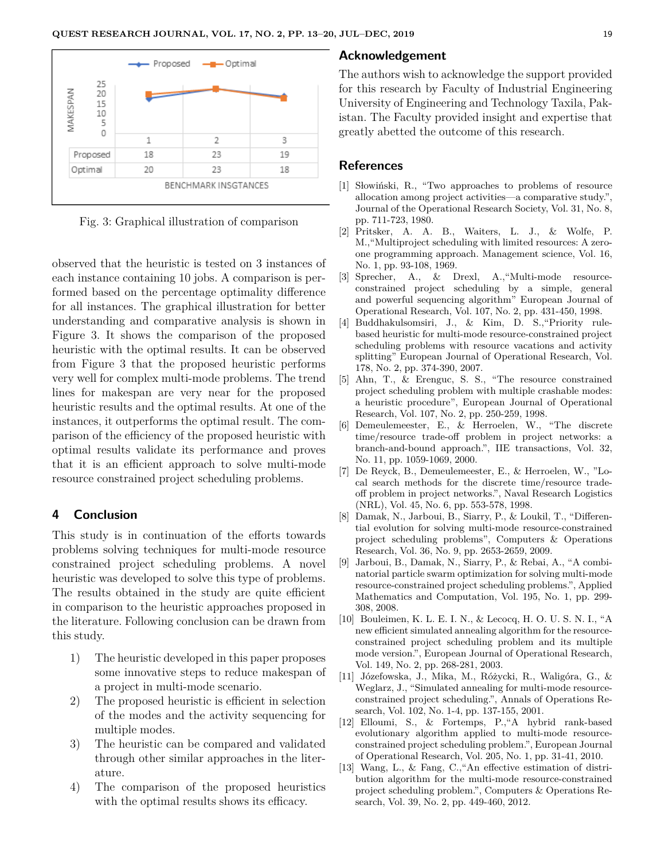

Fig. 3: Graphical illustration of comparison

observed that the heuristic is tested on 3 instances of each instance containing 10 jobs. A comparison is performed based on the percentage optimality difference for all instances. The graphical illustration for better understanding and comparative analysis is shown in Figure 3. It shows the comparison of the proposed heuristic with the optimal results. It can be observed from Figure 3 that the proposed heuristic performs very well for complex multi-mode problems. The trend lines for makespan are very near for the proposed heuristic results and the optimal results. At one of the instances, it outperforms the optimal result. The comparison of the efficiency of the proposed heuristic with optimal results validate its performance and proves that it is an efficient approach to solve multi-mode resource constrained project scheduling problems.

### **4 Conclusion**

This study is in continuation of the efforts towards problems solving techniques for multi-mode resource constrained project scheduling problems. A novel heuristic was developed to solve this type of problems. The results obtained in the study are quite efficient in comparison to the heuristic approaches proposed in the literature. Following conclusion can be drawn from this study.

- 1) The heuristic developed in this paper proposes some innovative steps to reduce makespan of a project in multi-mode scenario.
- 2) The proposed heuristic is efficient in selection of the modes and the activity sequencing for multiple modes.
- 3) The heuristic can be compared and validated through other similar approaches in the literature.
- 4) The comparison of the proposed heuristics with the optimal results shows its efficacy.

### **Acknowledgement**

The authors wish to acknowledge the support provided for this research by Faculty of Industrial Engineering University of Engineering and Technology Taxila, Pakistan. The Faculty provided insight and expertise that greatly abetted the outcome of this research.

### **References**

- [1] Słowiński, R., "Two approaches to problems of resource allocation among project activities—a comparative study.", Journal of the Operational Research Society, Vol. 31, No. 8, pp. 711-723, 1980.
- [2] Pritsker, A. A. B., Waiters, L. J., & Wolfe, P. M.,"Multiproject scheduling with limited resources: A zeroone programming approach. Management science, Vol. 16, No. 1, pp. 93-108, 1969.
- [3] Sprecher, A., & Drexl, A.,"Multi-mode resourceconstrained project scheduling by a simple, general and powerful sequencing algorithm" European Journal of Operational Research, Vol. 107, No. 2, pp. 431-450, 1998.
- [4] Buddhakulsomsiri, J., & Kim, D. S.,"Priority rulebased heuristic for multi-mode resource-constrained project scheduling problems with resource vacations and activity splitting" European Journal of Operational Research, Vol. 178, No. 2, pp. 374-390, 2007.
- [5] Ahn, T., & Erenguc, S. S., "The resource constrained project scheduling problem with multiple crashable modes: a heuristic procedure", European Journal of Operational Research, Vol. 107, No. 2, pp. 250-259, 1998.
- [6] Demeulemeester, E., & Herroelen, W., "The discrete time/resource trade-off problem in project networks: a branch-and-bound approach.", IIE transactions, Vol. 32, No. 11, pp. 1059-1069, 2000.
- [7] De Reyck, B., Demeulemeester, E., & Herroelen, W., "Local search methods for the discrete time/resource tradeoff problem in project networks.", Naval Research Logistics (NRL), Vol. 45, No. 6, pp. 553-578, 1998.
- [8] Damak, N., Jarboui, B., Siarry, P., & Loukil, T., "Differential evolution for solving multi-mode resource-constrained project scheduling problems", Computers & Operations Research, Vol. 36, No. 9, pp. 2653-2659, 2009.
- [9] Jarboui, B., Damak, N., Siarry, P., & Rebai, A., "A combinatorial particle swarm optimization for solving multi-mode resource-constrained project scheduling problems.", Applied Mathematics and Computation, Vol. 195, No. 1, pp. 299- 308, 2008.
- [10] Bouleimen, K. L. E. I. N., & Lecocq, H. O. U. S. N. I., "A new efficient simulated annealing algorithm for the resourceconstrained project scheduling problem and its multiple mode version.", European Journal of Operational Research, Vol. 149, No. 2, pp. 268-281, 2003.
- [11] Józefowska, J., Mika, M., Różycki, R., Waligóra, G., & Weglarz, J., "Simulated annealing for multi-mode resourceconstrained project scheduling.", Annals of Operations Research, Vol. 102, No. 1-4, pp. 137-155, 2001.
- [12] Elloumi, S., & Fortemps, P.,"A hybrid rank-based evolutionary algorithm applied to multi-mode resourceconstrained project scheduling problem.", European Journal of Operational Research, Vol. 205, No. 1, pp. 31-41, 2010.
- [13] Wang, L., & Fang, C.,"An effective estimation of distribution algorithm for the multi-mode resource-constrained project scheduling problem.", Computers & Operations Research, Vol. 39, No. 2, pp. 449-460, 2012.